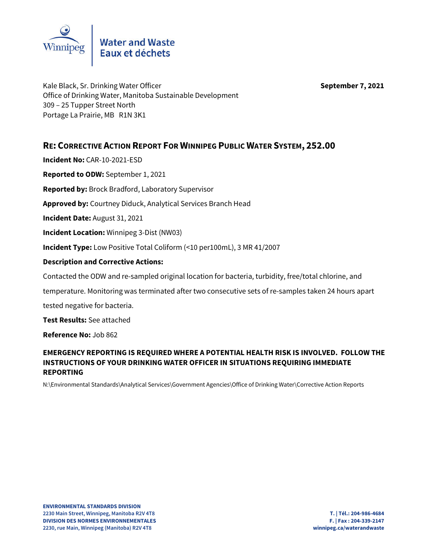

Kale Black, Sr. Drinking Water Officer **September 7, 2021** Office of Drinking Water, Manitoba Sustainable Development 309 – 25 Tupper Street North Portage La Prairie, MB R1N 3K1

## **RE: CORRECTIVE ACTION REPORT FOR WINNIPEG PUBLIC WATER SYSTEM, 252.00**

**Incident No:** CAR-10-2021-ESD **Reported to ODW:** September 1, 2021 **Reported by:** Brock Bradford, Laboratory Supervisor **Approved by:** Courtney Diduck, Analytical Services Branch Head **Incident Date:** August 31, 2021 **Incident Location:** Winnipeg 3-Dist (NW03) **Incident Type:** Low Positive Total Coliform (<10 per100mL), 3 MR 41/2007 **Description and Corrective Actions:** Contacted the ODW and re-sampled original location for bacteria, turbidity, free/total chlorine, and temperature. Monitoring was terminated after two consecutive sets of re-samples taken 24 hours apart

tested negative for bacteria.

**Test Results:** See attached

**Reference No:** Job 862

## **EMERGENCY REPORTING IS REQUIRED WHERE A POTENTIAL HEALTH RISK IS INVOLVED. FOLLOW THE INSTRUCTIONS OF YOUR DRINKING WATER OFFICER IN SITUATIONS REQUIRING IMMEDIATE REPORTING**

N:\Environmental Standards\Analytical Services\Government Agencies\Office of Drinking Water\Corrective Action Reports